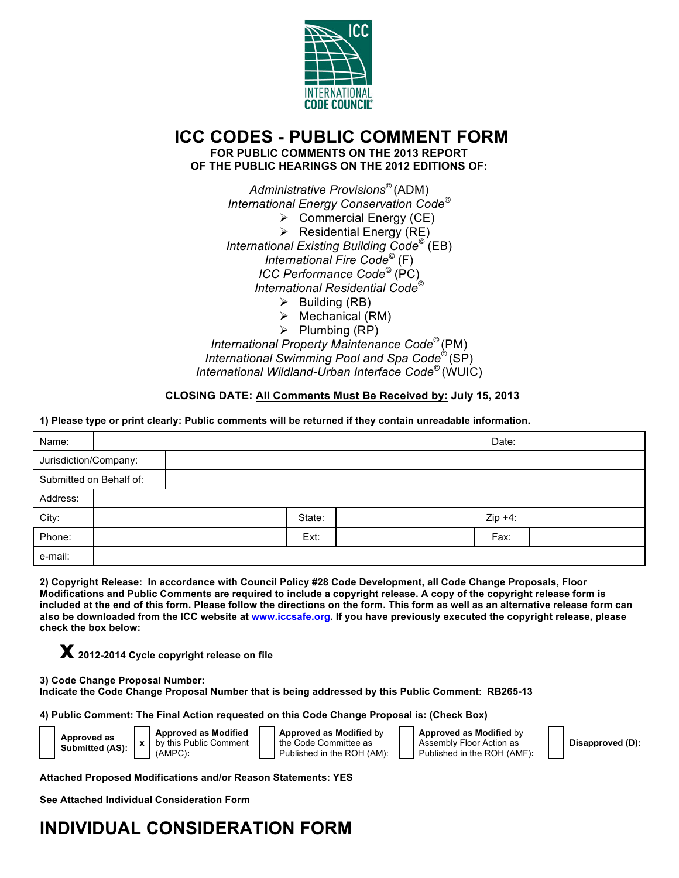

# **ICC CODES - PUBLIC COMMENT FORM FOR PUBLIC COMMENTS ON THE 2013 REPORT**

**OF THE PUBLIC HEARINGS ON THE 2012 EDITIONS OF:**

*Administrative Provisions©* (ADM) *International Energy Conservation Code©*  $\triangleright$  Commercial Energy (CE)  $\triangleright$  Residential Energy (RE) *International Existing Building Code©* (EB) *International Fire Code©* (F) *ICC Performance Code©* (PC) *International Residential Code©*  $\triangleright$  Building (RB)

- $\triangleright$  Mechanical (RM)
- $\triangleright$  Plumbing (RP)

*International Property Maintenance Code©* (PM) *International Swimming Pool and Spa Code©* (SP) *International Wildland-Urban Interface Code©* (WUIC)

## **CLOSING DATE: All Comments Must Be Received by: July 15, 2013**

## **1) Please type or print clearly: Public comments will be returned if they contain unreadable information.**

| Name:                   |  |        |  | Date:     |  |  |
|-------------------------|--|--------|--|-----------|--|--|
| Jurisdiction/Company:   |  |        |  |           |  |  |
| Submitted on Behalf of: |  |        |  |           |  |  |
| Address:                |  |        |  |           |  |  |
| City:                   |  | State: |  | $Zip +4:$ |  |  |
| Phone:                  |  | Ext:   |  | Fax:      |  |  |
| e-mail:                 |  |        |  |           |  |  |
|                         |  |        |  |           |  |  |

**2) Copyright Release: In accordance with Council Policy #28 Code Development, all Code Change Proposals, Floor Modifications and Public Comments are required to include a copyright release. A copy of the copyright release form is included at the end of this form. Please follow the directions on the form. This form as well as an alternative release form can also be downloaded from the ICC website at www.iccsafe.org. If you have previously executed the copyright release, please check the box below:**

**x 2012-2014 Cycle copyright release on file**

**3) Code Change Proposal Number: Indicate the Code Change Proposal Number that is being addressed by this Public Comment**: **RB265-13**

**4) Public Comment: The Final Action requested on this Code Change Proposal is: (Check Box)**

**Approved as Modified** by this Public Comment (AMPC)**:**

**Approved as Modified** by the Code Committee as Published in the ROH (AM):

**Approved as Modified** by Assembly Floor Action as Published in the ROH (AMF)**:**

**Disapproved (D):**

**Attached Proposed Modifications and/or Reason Statements: YES**

**See Attached Individual Consideration Form**

# **INDIVIDUAL CONSIDERATION FORM**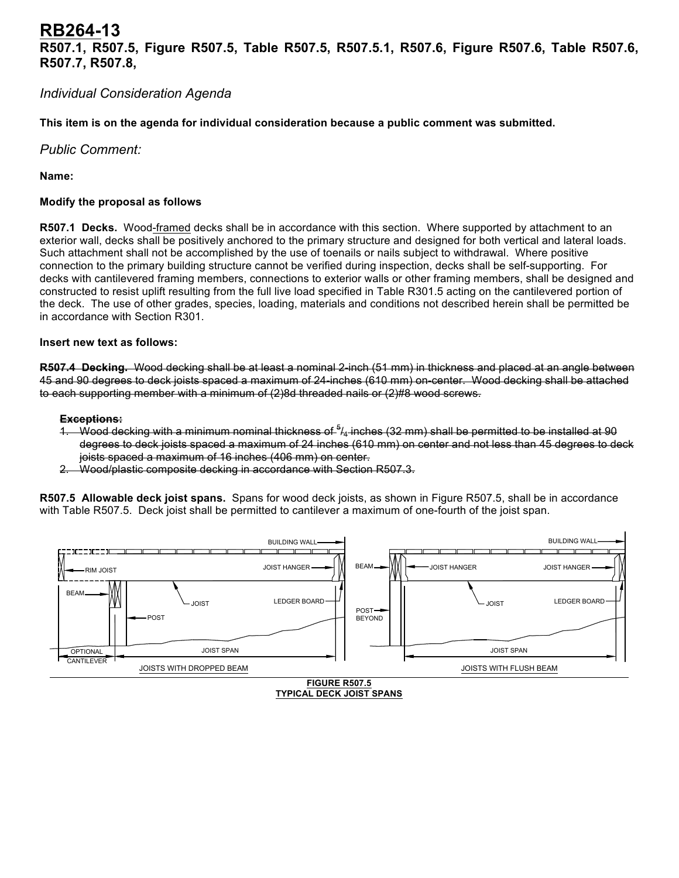## **RB264-13 R507.1, R507.5, Figure R507.5, Table R507.5, R507.5.1, R507.6, Figure R507.6, Table R507.6, R507.7, R507.8,**

## *Individual Consideration Agenda*

**This item is on the agenda for individual consideration because a public comment was submitted.**

*Public Comment:*

**Name:**

## **Modify the proposal as follows**

**R507.1 Decks.** Wood-framed decks shall be in accordance with this section. Where supported by attachment to an exterior wall, decks shall be positively anchored to the primary structure and designed for both vertical and lateral loads. Such attachment shall not be accomplished by the use of toenails or nails subject to withdrawal. Where positive connection to the primary building structure cannot be verified during inspection, decks shall be self-supporting. For decks with cantilevered framing members, connections to exterior walls or other framing members, shall be designed and constructed to resist uplift resulting from the full live load specified in Table R301.5 acting on the cantilevered portion of the deck. The use of other grades, species, loading, materials and conditions not described herein shall be permitted be in accordance with Section R301.

## **Insert new text as follows:**

**R507.4 Decking.** Wood decking shall be at least a nominal 2-inch (51 mm) in thickness and placed at an angle between 45 and 90 degrees to deck joists spaced a maximum of 24-inches (610 mm) on-center. Wood decking shall be attached to each supporting member with a minimum of (2)8d threaded nails or (2)#8 wood screws.

#### **Exceptions:**

- 1. Wood decking with a minimum nominal thickness of  $5/4$ -inches (32 mm) shall be permitted to be installed at 90 degrees to deck joists spaced a maximum of 24 inches (610 mm) on center and not less than 45 degrees to deck joists spaced a maximum of 16 inches (406 mm) on center.
- 2. Wood/plastic composite decking in accordance with Section R507.3.

**R507.5 Allowable deck joist spans.** Spans for wood deck joists, as shown in Figure R507.5, shall be in accordance with Table R507.5. Deck joist shall be permitted to cantilever a maximum of one-fourth of the joist span.

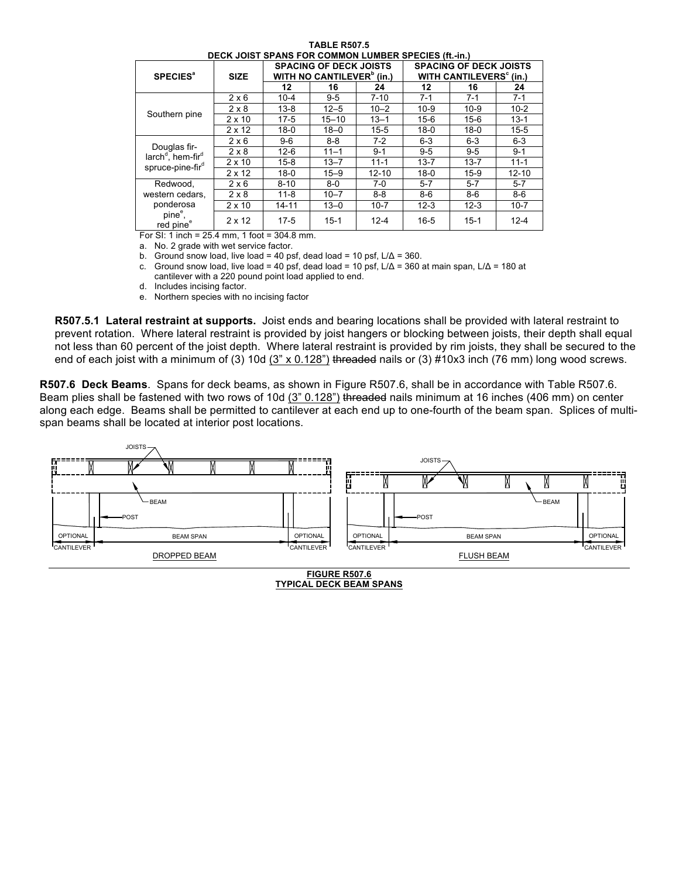| <b>DECK JOIST SPANS FOR COMMON LUMBER SPECIES (ft.-in.)</b>                 |                                                            |                                                                        |           |           |                                                                      |          |           |  |
|-----------------------------------------------------------------------------|------------------------------------------------------------|------------------------------------------------------------------------|-----------|-----------|----------------------------------------------------------------------|----------|-----------|--|
| <b>SPECIES<sup>®</sup></b>                                                  | <b>SIZE</b>                                                | <b>SPACING OF DECK JOISTS</b><br>WITH NO CANTILEVER <sup>®</sup> (in.) |           |           | <b>SPACING OF DECK JOISTS</b><br>WITH CANTILEVERS <sup>°</sup> (in.) |          |           |  |
|                                                                             |                                                            | 12                                                                     | 16        | 24        | 12                                                                   | 16       | 24        |  |
|                                                                             | $2 \times 6$                                               | $10 - 4$                                                               | $9 - 5$   | $7 - 10$  | $7 - 1$                                                              | $7-1$    | $7 - 1$   |  |
|                                                                             | $2 \times 8$                                               | $13 - 8$                                                               | $12 - 5$  | $10 - 2$  | $10-9$                                                               | $10-9$   | $10-2$    |  |
| Southern pine                                                               | $2 \times 10$                                              | $17-5$                                                                 | $15 - 10$ | $13 - 1$  | $15-6$                                                               | $15-6$   | $13 - 1$  |  |
|                                                                             | $2 \times 12$                                              | $18-0$                                                                 | $18 - 0$  | $15 - 5$  | $18-0$                                                               | $18-0$   | $15 - 5$  |  |
|                                                                             | $2 \times 6$                                               | $9-6$                                                                  | $8 - 8$   | $7-2$     | $6 - 3$                                                              | $6 - 3$  | $6 - 3$   |  |
| Douglas fir-<br>larch <sup>d</sup> , hem-fir <sup>d</sup>                   | 2 × 8                                                      | $12-6$                                                                 | $11 - 1$  | $9 - 1$   | $9 - 5$                                                              | $9 - 5$  | $9 - 1$   |  |
| spruce-pine-fir <sup>d</sup>                                                | $2 \times 10$                                              | $15 - 8$                                                               | $13 - 7$  | $11 - 1$  | $13 - 7$                                                             | $13 - 7$ | $11 - 1$  |  |
|                                                                             | $2 \times 12$                                              | $18-0$                                                                 | $15 - 9$  | $12 - 10$ | $18-0$                                                               | $15-9$   | $12 - 10$ |  |
| Redwood,                                                                    | $2 \times 6$                                               | $8 - 10$                                                               | $8-0$     | $7-0$     | $5 - 7$                                                              | $5 - 7$  | $5 - 7$   |  |
| western cedars,                                                             | $2 \times 8$                                               | $11 - 8$                                                               | $10 - 7$  | $8 - 8$   | $8-6$                                                                | $8-6$    | $8-6$     |  |
| ponderosa                                                                   | $2 \times 10$                                              | $14 - 11$                                                              | $13 - 0$  | $10 - 7$  | $12 - 3$                                                             | $12 - 3$ | $10 - 7$  |  |
| pine <sup>e</sup> ,<br>red pine <sup>e</sup><br>$\sim$ $\sim$ $\sim$ $\sim$ | $2 \times 12$<br>$\sim$ $\sim$ $\sim$ $\sim$ $\sim$ $\sim$ | $17-5$<br>$\sim$ $\sim$                                                | $15 - 1$  | $12 - 4$  | $16 - 5$                                                             | $15 - 1$ | $12 - 4$  |  |

**TABLE R507.5**

For SI: 1 inch = 25.4 mm, 1 foot = 304.8 mm. a. No. 2 grade with wet service factor.

b. Ground snow load, live load = 40 psf, dead load = 10 psf,  $L/\Delta$  = 360.

c. Ground snow load, live load = 40 psf, dead load = 10 psf,  $L/\Delta$  = 360 at main span,  $L/\Delta$  = 180 at

cantilever with a 220 pound point load applied to end.

d. Includes incising factor.

e. Northern species with no incising factor

**R507.5.1 Lateral restraint at supports.** Joist ends and bearing locations shall be provided with lateral restraint to prevent rotation. Where lateral restraint is provided by joist hangers or blocking between joists, their depth shall equal not less than 60 percent of the joist depth. Where lateral restraint is provided by rim joists, they shall be secured to the end of each joist with a minimum of (3) 10d (3" x 0.128") threaded nails or (3) #10x3 inch (76 mm) long wood screws.

**R507.6 Deck Beams**. Spans for deck beams, as shown in Figure R507.6, shall be in accordance with Table R507.6. Beam plies shall be fastened with two rows of 10d (3" 0.128") threaded nails minimum at 16 inches (406 mm) on center along each edge. Beams shall be permitted to cantilever at each end up to one-fourth of the beam span. Splices of multispan beams shall be located at interior post locations.



**TYPICAL DECK BEAM SPANS**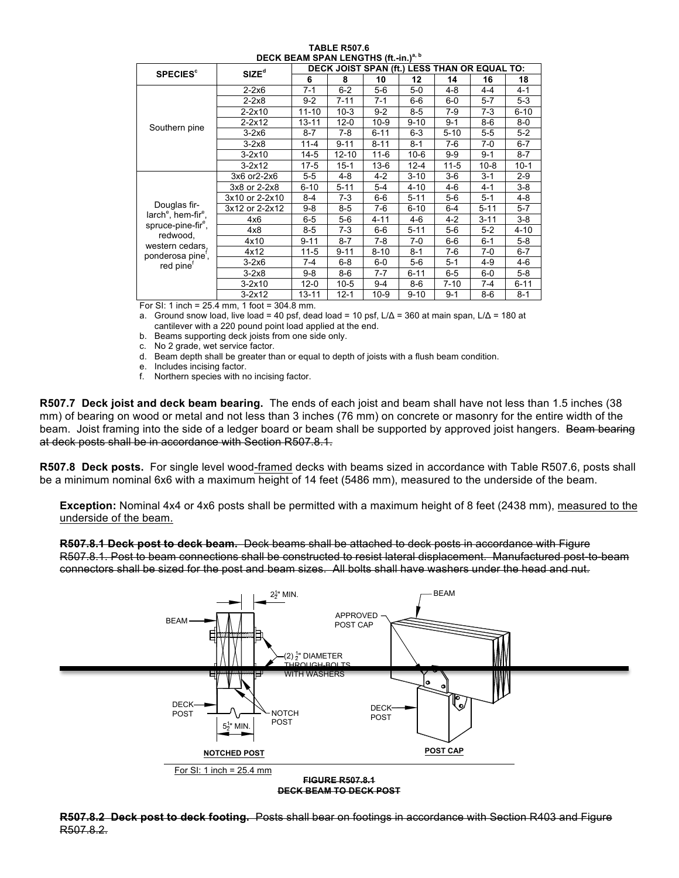| DECK BEAM SPAN LENGTHS (ft.-in.)" <sup>"</sup> |                   |                                              |           |          |          |          |          |          |  |
|------------------------------------------------|-------------------|----------------------------------------------|-----------|----------|----------|----------|----------|----------|--|
| <b>SPECIES<sup>c</sup></b>                     | SIZE <sup>d</sup> | DECK JOIST SPAN (ft.) LESS THAN OR EQUAL TO: |           |          |          |          |          |          |  |
|                                                |                   | 6                                            | 8         | 10       | 12       | 14       | 16       | 18       |  |
|                                                | $2-2x6$           | $7 - 1$                                      | $6-2$     | $5-6$    | $5-0$    | $4 - 8$  | 4-4      | $4 - 1$  |  |
|                                                | $2 - 2x8$         | $9 - 2$                                      | $7 - 11$  | 7-1      | $6-6$    | $6-0$    | $5-7$    | $5 - 3$  |  |
|                                                | $2 - 2 \times 10$ | $11 - 10$                                    | $10-3$    | $9 - 2$  | $8-5$    | 7-9      | 7-3      | $6 - 10$ |  |
|                                                | $2 - 2 \times 12$ | $13 - 11$                                    | $12-0$    | $10-9$   | $9 - 10$ | $9 - 1$  | $8-6$    | $8-0$    |  |
| Southern pine                                  | $3-2x6$           | $8 - 7$                                      | 7-8       | $6 - 11$ | $6 - 3$  | $5 - 10$ | $5-5$    | $5-2$    |  |
|                                                | $3-2x8$           | $11 - 4$                                     | $9 - 11$  | $8 - 11$ | $8 - 1$  | $7-6$    | 7-0      | $6 - 7$  |  |
|                                                | $3-2x10$          | 14-5                                         | $12 - 10$ | $11 - 6$ | $10-6$   | $9-9$    | $9 - 1$  | $8 - 7$  |  |
|                                                | $3 - 2x12$        | $17-5$                                       | $15 - 1$  | $13-6$   | $12 - 4$ | $11 - 5$ | $10-8$   | $10-1$   |  |
|                                                | 3x6 or2-2x6       | $5 - 5$                                      | 4-8       | 4-2      | $3 - 10$ | $3-6$    | $3 - 1$  | $2-9$    |  |
|                                                | 3x8 or 2-2x8      | $6 - 10$                                     | $5 - 11$  | $5 - 4$  | $4 - 10$ | 4-6      | 4-1      | $3-8$    |  |
|                                                | 3x10 or 2-2x10    | 8-4                                          | $7-3$     | 6-6      | $5 - 11$ | $5-6$    | $5 - 1$  | 4-8      |  |
| Douglas fir-                                   | 3x12 or 2-2x12    | $9-8$                                        | $8 - 5$   | 7-6      | $6 - 10$ | $6 - 4$  | $5 - 11$ | $5 - 7$  |  |
| $larche$ , hem-fir $ee$ ,                      | 4x6               | $6-5$                                        | $5-6$     | $4 - 11$ | 4-6      | $4-2$    | $3 - 11$ | $3-8$    |  |
| spruce-pine-fir <sup>e</sup> ,                 | 4x8               | 8-5                                          | 7-3       | 6-6      | $5 - 11$ | $5-6$    | $5-2$    | $4 - 10$ |  |
| redwood,<br>western cedars,                    | 4x10              | $9 - 11$                                     | $8 - 7$   | 7-8      | $7-0$    | $6-6$    | $6 - 1$  | $5-8$    |  |
| ponderosa pine,                                | 4x12              | $11 - 5$                                     | $9 - 11$  | $8 - 10$ | $8 - 1$  | $7-6$    | 7-0      | $6 - 7$  |  |
| red pine <sup>†</sup>                          | $3-2x6$           | $7-4$                                        | $6 - 8$   | $6-0$    | $5-6$    | $5 - 1$  | 4-9      | $4 - 6$  |  |
|                                                | $3-2x8$           | 9-8                                          | $8-6$     | 7-7      | $6 - 11$ | $6-5$    | $6-0$    | $5-8$    |  |
|                                                | $3-2x10$          | $12-0$                                       | $10-5$    | $9 - 4$  | $8-6$    | 7-10     | 7-4      | $6 - 11$ |  |
|                                                | $3 - 2x12$        | 13-11                                        | $12 - 1$  | $10-9$   | $9 - 10$ | $9 - 1$  | $8-6$    | $8 - 1$  |  |

**TABLE R507.6 DECK BEAM SPAN LENGTHS (ft.-in.)a, b**

For SI: 1 inch = 25.4 mm, 1 foot = 304.8 mm.

a. Ground snow load, live load = 40 psf, dead load = 10 psf, L/Δ = 360 at main span, L/Δ = 180 at cantilever with a 220 pound point load applied at the end.

b. Beams supporting deck joists from one side only.

- c. No 2 grade, wet service factor.
- d. Beam depth shall be greater than or equal to depth of joists with a flush beam condition.
- e. Includes incising factor.
- f. Northern species with no incising factor.

**R507.7 Deck joist and deck beam bearing.** The ends of each joist and beam shall have not less than 1.5 inches (38 mm) of bearing on wood or metal and not less than 3 inches (76 mm) on concrete or masonry for the entire width of the beam. Joist framing into the side of a ledger board or beam shall be supported by approved joist hangers. Beam bearing at deck posts shall be in accordance with Section R507.8.1.

**R507.8 Deck posts.** For single level wood-framed decks with beams sized in accordance with Table R507.6, posts shall be a minimum nominal 6x6 with a maximum height of 14 feet (5486 mm), measured to the underside of the beam.

**Exception:** Nominal 4x4 or 4x6 posts shall be permitted with a maximum height of 8 feet (2438 mm), measured to the underside of the beam.

**R507.8.1 Deck post to deck beam.** Deck beams shall be attached to deck posts in accordance with Figure R507.8.1. Post to beam connections shall be constructed to resist lateral displacement. Manufactured post-to-beam connectors shall be sized for the post and beam sizes. All bolts shall have washers under the head and nut.



## **R507.8.2 Deck post to deck footing.** Posts shall bear on footings in accordance with Section R403 and Figure R507.8.2.